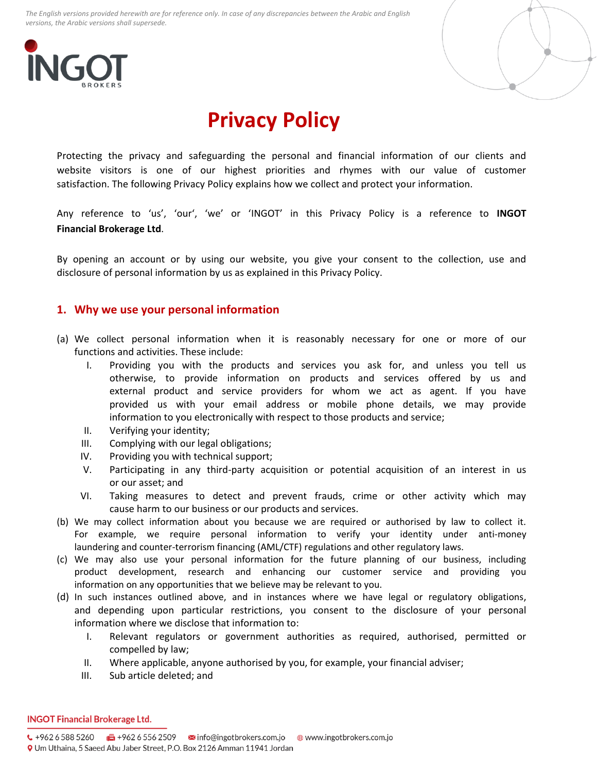



# **Privacy Policy**

Protecting the privacy and safeguarding the personal and financial information of our clients and website visitors is one of our highest priorities and rhymes with our value of customer satisfaction. The following Privacy Policy explains how we collect and protect your information.

Any reference to 'us', 'our', 'we' or 'INGOT' in this Privacy Policy is a reference to **INGOT Financial Brokerage Ltd**.

By opening an account or by using our website, you give your consent to the collection, use and disclosure of personal information by us as explained in this Privacy Policy.

## **1. Why we use your personal information**

- (a) We collect personal information when it is reasonably necessary for one or more of our functions and activities. These include:
	- I. Providing you with the products and services you ask for, and unless you tell us otherwise, to provide information on products and services offered by us and external product and service providers for whom we act as agent. If you have provided us with your email address or mobile phone details, we may provide information to you electronically with respect to those products and service;
	- II. Verifying your identity;
	- III. Complying with our legal obligations;
	- IV. Providing you with technical support;
	- V. Participating in any third-party acquisition or potential acquisition of an interest in us or our asset; and
	- VI. Taking measures to detect and prevent frauds, crime or other activity which may cause harm to our business or our products and services.
- (b) We may collect information about you because we are required or authorised by law to collect it. For example, we require personal information to verify your identity under anti-money laundering and counter-terrorism financing (AML/CTF) regulations and other regulatory laws.
- (c) We may also use your personal information for the future planning of our business, including product development, research and enhancing our customer service and providing you information on any opportunities that we believe may be relevant to you.
- (d) In such instances outlined above, and in instances where we have legal or regulatory obligations, and depending upon particular restrictions, you consent to the disclosure of your personal information where we disclose that information to:
	- I. Relevant regulators or government authorities as required, authorised, permitted or compelled by law;
	- II. Where applicable, anyone authorised by you, for example, your financial adviser;
	- III. Sub article deleted; and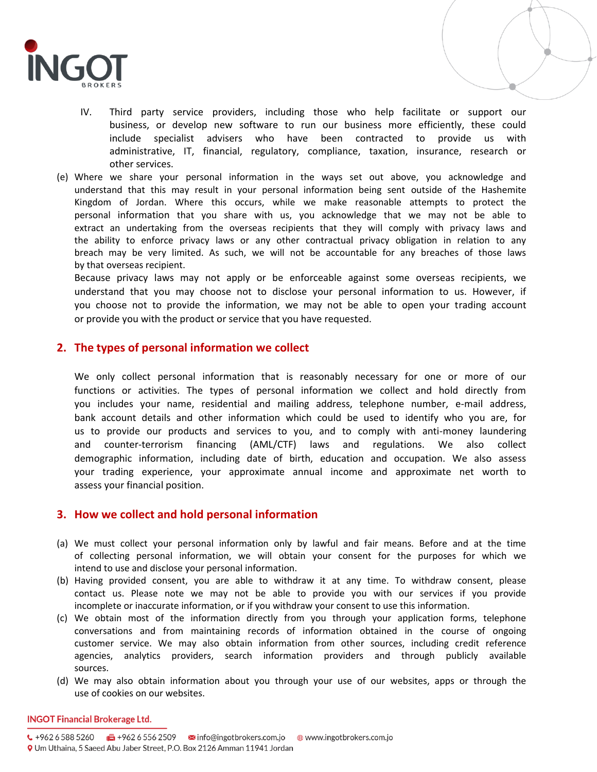

- IV. Third party service providers, including those who help facilitate or support our business, or develop new software to run our business more efficiently, these could include specialist advisers who have been contracted to provide us with administrative, IT, financial, regulatory, compliance, taxation, insurance, research or other services.
- (e) Where we share your personal information in the ways set out above, you acknowledge and understand that this may result in your personal information being sent outside of the Hashemite Kingdom of Jordan. Where this occurs, while we make reasonable attempts to protect the personal information that you share with us, you acknowledge that we may not be able to extract an undertaking from the overseas recipients that they will comply with privacy laws and the ability to enforce privacy laws or any other contractual privacy obligation in relation to any breach may be very limited. As such, we will not be accountable for any breaches of those laws by that overseas recipient.

Because privacy laws may not apply or be enforceable against some overseas recipients, we understand that you may choose not to disclose your personal information to us. However, if you choose not to provide the information, we may not be able to open your trading account or provide you with the product or service that you have requested.

## **2. The types of personal information we collect**

We only collect personal information that is reasonably necessary for one or more of our functions or activities. The types of personal information we collect and hold directly from you includes your name, residential and mailing address, telephone number, e-mail address, bank account details and other information which could be used to identify who you are, for us to provide our products and services to you, and to comply with anti-money laundering and counter-terrorism financing (AML/CTF) laws and regulations. We also collect demographic information, including date of birth, education and occupation. We also assess your trading experience, your approximate annual income and approximate net worth to assess your financial position.

## **3. How we collect and hold personal information**

- (a) We must collect your personal information only by lawful and fair means. Before and at the time of collecting personal information, we will obtain your consent for the purposes for which we intend to use and disclose your personal information.
- (b) Having provided consent, you are able to withdraw it at any time. To withdraw consent, please contact us. Please note we may not be able to provide you with our services if you provide incomplete or inaccurate information, or if you withdraw your consent to use this information.
- (c) We obtain most of the information directly from you through your application forms, telephone conversations and from maintaining records of information obtained in the course of ongoing customer service. We may also obtain information from other sources, including credit reference agencies, analytics providers, search information providers and through publicly available sources.
- (d) We may also obtain information about you through your use of our websites, apps or through the use of cookies on our websites.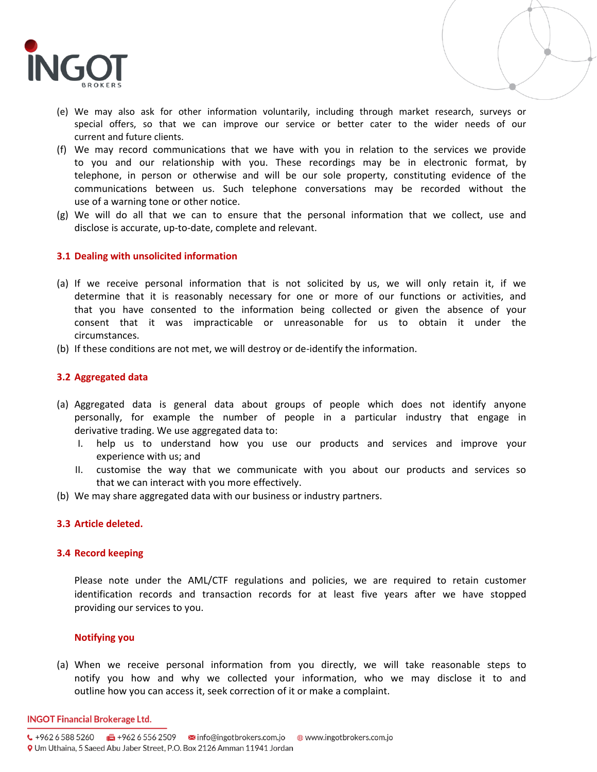

- (e) We may also ask for other information voluntarily, including through market research, surveys or special offers, so that we can improve our service or better cater to the wider needs of our current and future clients.
- (f) We may record communications that we have with you in relation to the services we provide to you and our relationship with you. These recordings may be in electronic format, by telephone, in person or otherwise and will be our sole property, constituting evidence of the communications between us. Such telephone conversations may be recorded without the use of a warning tone or other notice.
- (g) We will do all that we can to ensure that the personal information that we collect, use and disclose is accurate, up-to-date, complete and relevant.

#### **3.1 Dealing with unsolicited information**

- (a) If we receive personal information that is not solicited by us, we will only retain it, if we determine that it is reasonably necessary for one or more of our functions or activities, and that you have consented to the information being collected or given the absence of your consent that it was impracticable or unreasonable for us to obtain it under the circumstances.
- (b) If these conditions are not met, we will destroy or de-identify the information.

### **3.2 Aggregated data**

- (a) Aggregated data is general data about groups of people which does not identify anyone personally, for example the number of people in a particular industry that engage in derivative trading. We use aggregated data to:
	- I. help us to understand how you use our products and services and improve your experience with us; and
	- II. customise the way that we communicate with you about our products and services so that we can interact with you more effectively.
- (b) We may share aggregated data with our business or industry partners.

### **3.3 Article deleted.**

#### **3.4 Record keeping**

Please note under the AML/CTF regulations and policies, we are required to retain customer identification records and transaction records for at least five years after we have stopped providing our services to you.

## **Notifying you**

(a) When we receive personal information from you directly, we will take reasonable steps to notify you how and why we collected your information, who we may disclose it to and outline how you can access it, seek correction of it or make a complaint.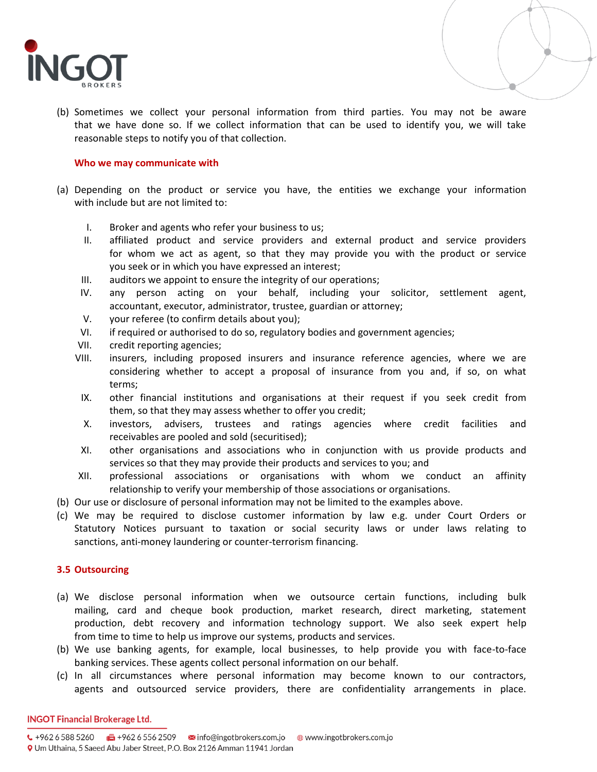

(b) Sometimes we collect your personal information from third parties. You may not be aware that we have done so. If we collect information that can be used to identify you, we will take reasonable steps to notify you of that collection.

#### **Who we may communicate with**

- (a) Depending on the product or service you have, the entities we exchange your information with include but are not limited to:
	- I. Broker and agents who refer your business to us;
	- II. affiliated product and service providers and external product and service providers for whom we act as agent, so that they may provide you with the product or service you seek or in which you have expressed an interest;
	- III. auditors we appoint to ensure the integrity of our operations;
	- IV. any person acting on your behalf, including your solicitor, settlement agent, accountant, executor, administrator, trustee, guardian or attorney;
	- V. your referee (to confirm details about you);
	- VI. if required or authorised to do so, regulatory bodies and government agencies;
	- VII. credit reporting agencies;
	- VIII. insurers, including proposed insurers and insurance reference agencies, where we are considering whether to accept a proposal of insurance from you and, if so, on what terms;
	- IX. other financial institutions and organisations at their request if you seek credit from them, so that they may assess whether to offer you credit;
	- X. investors, advisers, trustees and ratings agencies where credit facilities and receivables are pooled and sold (securitised);
	- XI. other organisations and associations who in conjunction with us provide products and services so that they may provide their products and services to you; and
	- XII. professional associations or organisations with whom we conduct an affinity relationship to verify your membership of those associations or organisations.
- (b) Our use or disclosure of personal information may not be limited to the examples above.
- (c) We may be required to disclose customer information by law e.g. under Court Orders or Statutory Notices pursuant to taxation or social security laws or under laws relating to sanctions, anti-money laundering or counter-terrorism financing.

### **3.5 Outsourcing**

- (a) We disclose personal information when we outsource certain functions, including bulk mailing, card and cheque book production, market research, direct marketing, statement production, debt recovery and information technology support. We also seek expert help from time to time to help us improve our systems, products and services.
- (b) We use banking agents, for example, local businesses, to help provide you with face-to-face banking services. These agents collect personal information on our behalf.
- (c) In all circumstances where personal information may become known to our contractors, agents and outsourced service providers, there are confidentiality arrangements in place.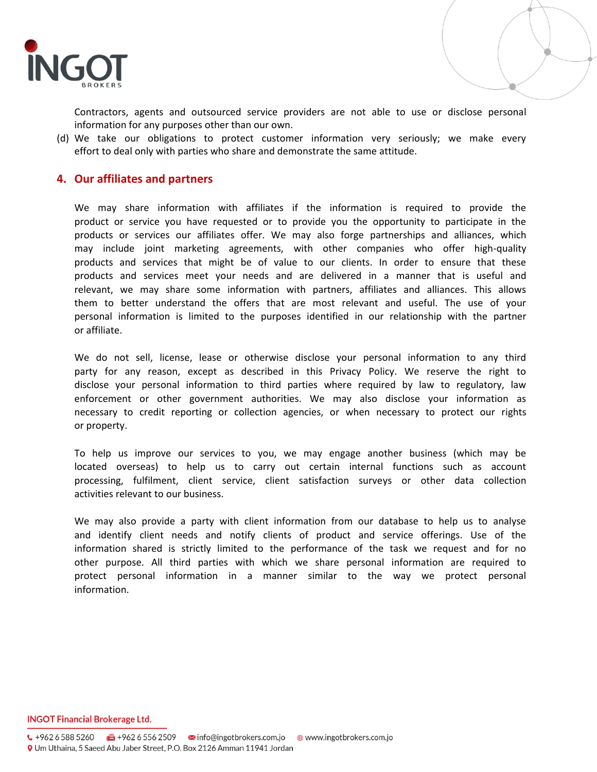

Contractors, agents and outsourced service providers are not able to use or disclose personal information for any purposes other than our own.

(d) We take our obligations to protect customer information very seriously; we make every effort to deal only with parties who share and demonstrate the same attitude.

## **4. Our affiliates and partners**

We may share information with affiliates if the information is required to provide the product or service you have requested or to provide you the opportunity to participate in the products or services our affiliates offer. We may also forge partnerships and alliances, which may include joint marketing agreements, with other companies who offer high-quality products and services that might be of value to our clients. In order to ensure that these products and services meet your needs and are delivered in a manner that is useful and relevant, we may share some information with partners, affiliates and alliances. This allows them to better understand the offers that are most relevant and useful. The use of your personal information is limited to the purposes identified in our relationship with the partner or affiliate.

We do not sell, license, lease or otherwise disclose your personal information to any third party for any reason, except as described in this Privacy Policy. We reserve the right to disclose your personal information to third parties where required by law to regulatory, law enforcement or other government authorities. We may also disclose your information as necessary to credit reporting or collection agencies, or when necessary to protect our rights or property.

To help us improve our services to you, we may engage another business (which may be located overseas) to help us to carry out certain internal functions such as account processing, fulfilment, client service, client satisfaction surveys or other data collection activities relevant to our business.

We may also provide a party with client information from our database to help us to analyse and identify client needs and notify clients of product and service offerings. Use of the information shared is strictly limited to the performance of the task we request and for no other purpose. All third parties with which we share personal information are required to protect personal information in a manner similar to the way we protect personal information.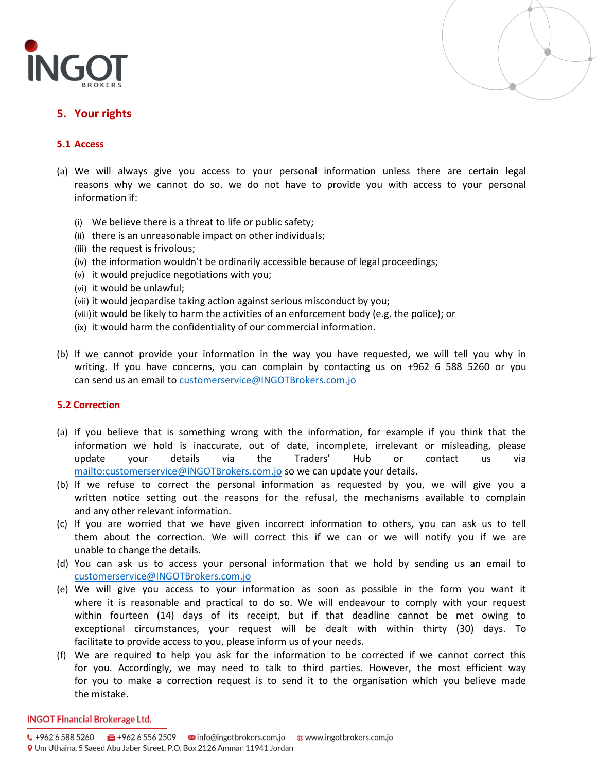



## **5. Your rights**

## **5.1 Access**

- (a) We will always give you access to your personal information unless there are certain legal reasons why we cannot do so. we do not have to provide you with access to your personal information if:
	- (i) We believe there is a threat to life or public safety;
	- (ii) there is an unreasonable impact on other individuals;
	- (iii) the request is frivolous;
	- (iv) the information wouldn't be ordinarily accessible because of legal proceedings;
	- (v) it would prejudice negotiations with you;
	- (vi) it would be unlawful;
	- (vii) it would jeopardise taking action against serious misconduct by you;
	- (viii)it would be likely to harm the activities of an enforcement body (e.g. the police); or
	- (ix) it would harm the confidentiality of our commercial information.
- (b) If we cannot provide your information in the way you have requested, we will tell you why in writing. If you have concerns, you can complain by contacting us on +962 6 588 5260 or you can send us an email t[o customerservice@INGOTBrokers.com.jo](mailto:customerservice@INGOTBroker.com.jo)

### **5.2 Correction**

- (a) If you believe that is something wrong with the information, for example if you think that the information we hold is inaccurate, out of date, incomplete, irrelevant or misleading, please update your details via the Traders' Hub or contact us via <mailto:customerservice@INGOTBrokers.com.jo> so we can update your details.
- (b) If we refuse to correct the personal information as requested by you, we will give you a written notice setting out the reasons for the refusal, the mechanisms available to complain and any other relevant information.
- (c) If you are worried that we have given incorrect information to others, you can ask us to tell them about the correction. We will correct this if we can or we will notify you if we are unable to change the details.
- (d) You can ask us to access your personal information that we hold by sending us an email to [customerservice@INGOTBrokers.com.jo](mailto:customerservice@INGOTBrokers.com.jo)
- (e) We will give you access to your information as soon as possible in the form you want it where it is reasonable and practical to do so. We will endeavour to comply with your request within fourteen (14) days of its receipt, but if that deadline cannot be met owing to exceptional circumstances, your request will be dealt with within thirty (30) days. To facilitate to provide access to you, please inform us of your needs.
- (f) We are required to help you ask for the information to be corrected if we cannot correct this for you. Accordingly, we may need to talk to third parties. However, the most efficient way for you to make a correction request is to send it to the organisation which you believe made the mistake.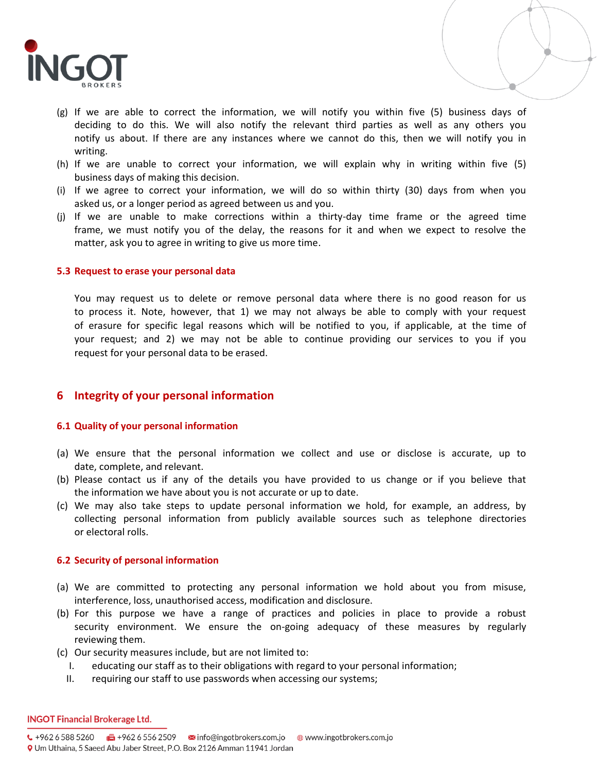

- (g) If we are able to correct the information, we will notify you within five (5) business days of deciding to do this. We will also notify the relevant third parties as well as any others you notify us about. If there are any instances where we cannot do this, then we will notify you in writing.
- (h) If we are unable to correct your information, we will explain why in writing within five (5) business days of making this decision.
- (i) If we agree to correct your information, we will do so within thirty (30) days from when you asked us, or a longer period as agreed between us and you.
- (j) If we are unable to make corrections within a thirty-day time frame or the agreed time frame, we must notify you of the delay, the reasons for it and when we expect to resolve the matter, ask you to agree in writing to give us more time.

#### **5.3 Request to erase your personal data**

You may request us to delete or remove personal data where there is no good reason for us to process it. Note, however, that 1) we may not always be able to comply with your request of erasure for specific legal reasons which will be notified to you, if applicable, at the time of your request; and 2) we may not be able to continue providing our services to you if you request for your personal data to be erased.

## **6 Integrity of your personal information**

### **6.1 Quality of your personal information**

- (a) We ensure that the personal information we collect and use or disclose is accurate, up to date, complete, and relevant.
- (b) Please contact us if any of the details you have provided to us change or if you believe that the information we have about you is not accurate or up to date.
- (c) We may also take steps to update personal information we hold, for example, an address, by collecting personal information from publicly available sources such as telephone directories or electoral rolls.

#### **6.2 Security of personal information**

- (a) We are committed to protecting any personal information we hold about you from misuse, interference, loss, unauthorised access, modification and disclosure.
- (b) For this purpose we have a range of practices and policies in place to provide a robust security environment. We ensure the on-going adequacy of these measures by regularly reviewing them.
- (c) Our security measures include, but are not limited to:
	- I. educating our staff as to their obligations with regard to your personal information;
	- II. requiring our staff to use passwords when accessing our systems;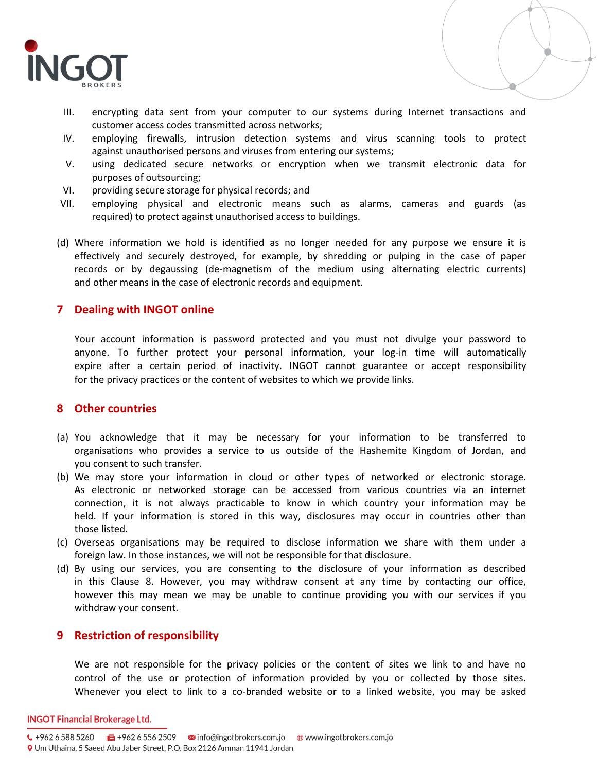

- III. encrypting data sent from your computer to our systems during Internet transactions and customer access codes transmitted across networks;
- IV. employing firewalls, intrusion detection systems and virus scanning tools to protect against unauthorised persons and viruses from entering our systems;
- V. using dedicated secure networks or encryption when we transmit electronic data for purposes of outsourcing;
- VI. providing secure storage for physical records; and
- VII. employing physical and electronic means such as alarms, cameras and guards (as required) to protect against unauthorised access to buildings.
- (d) Where information we hold is identified as no longer needed for any purpose we ensure it is effectively and securely destroyed, for example, by shredding or pulping in the case of paper records or by degaussing (de-magnetism of the medium using alternating electric currents) and other means in the case of electronic records and equipment.

## **7 Dealing with INGOT online**

Your account information is password protected and you must not divulge your password to anyone. To further protect your personal information, your log-in time will automatically expire after a certain period of inactivity. INGOT cannot guarantee or accept responsibility for the privacy practices or the content of websites to which we provide links.

## **8 Other countries**

- (a) You acknowledge that it may be necessary for your information to be transferred to organisations who provides a service to us outside of the Hashemite Kingdom of Jordan, and you consent to such transfer.
- (b) We may store your information in cloud or other types of networked or electronic storage. As electronic or networked storage can be accessed from various countries via an internet connection, it is not always practicable to know in which country your information may be held. If your information is stored in this way, disclosures may occur in countries other than those listed.
- (c) Overseas organisations may be required to disclose information we share with them under a foreign law. In those instances, we will not be responsible for that disclosure.
- (d) By using our services, you are consenting to the disclosure of your information as described in this Clause 8. However, you may withdraw consent at any time by contacting our office, however this may mean we may be unable to continue providing you with our services if you withdraw your consent.

## **9 Restriction of responsibility**

We are not responsible for the privacy policies or the content of sites we link to and have no control of the use or protection of information provided by you or collected by those sites. Whenever you elect to link to a co-branded website or to a linked website, you may be asked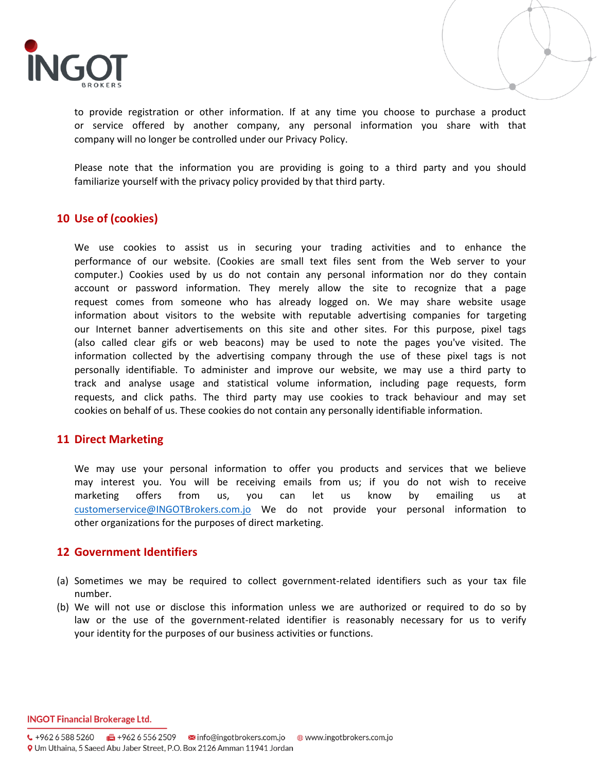

to provide registration or other information. If at any time you choose to purchase a product or service offered by another company, any personal information you share with that company will no longer be controlled under our Privacy Policy.

Please note that the information you are providing is going to a third party and you should familiarize yourself with the privacy policy provided by that third party.

## **10 Use of (cookies)**

We use cookies to assist us in securing your trading activities and to enhance the performance of our website. (Cookies are small text files sent from the Web server to your computer.) Cookies used by us do not contain any personal information nor do they contain account or password information. They merely allow the site to recognize that a page request comes from someone who has already logged on. We may share website usage information about visitors to the website with reputable advertising companies for targeting our Internet banner advertisements on this site and other sites. For this purpose, pixel tags (also called clear gifs or web beacons) may be used to note the pages you've visited. The information collected by the advertising company through the use of these pixel tags is not personally identifiable. To administer and improve our website, we may use a third party to track and analyse usage and statistical volume information, including page requests, form requests, and click paths. The third party may use cookies to track behaviour and may set cookies on behalf of us. These cookies do not contain any personally identifiable information.

## **11 Direct Marketing**

We may use your personal information to offer you products and services that we believe may interest you. You will be receiving emails from us; if you do not wish to receive marketing offers from us, you can let us know by emailing us at [customerservice@INGOTBrokers.com.jo](mailto:customerservice@INGOTBrokers.com.jo) We do not provide your personal information to other organizations for the purposes of direct marketing.

## **12 Government Identifiers**

- (a) Sometimes we may be required to collect government-related identifiers such as your tax file number.
- (b) We will not use or disclose this information unless we are authorized or required to do so by law or the use of the government-related identifier is reasonably necessary for us to verify your identity for the purposes of our business activities or functions.